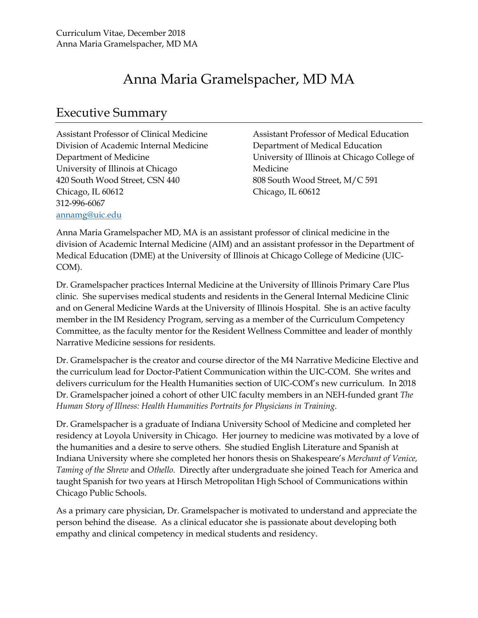# Anna Maria Gramelspacher, MD MA

### Executive Summary

Assistant Professor of Clinical Medicine Division of Academic Internal Medicine Department of Medicine University of Illinois at Chicago 420 South Wood Street, CSN 440 Chicago, IL 60612 312-996-6067 annamg@uic.edu

Assistant Professor of Medical Education Department of Medical Education University of Illinois at Chicago College of Medicine 808 South Wood Street, M/C 591 Chicago, IL 60612

Anna Maria Gramelspacher MD, MA is an assistant professor of clinical medicine in the division of Academic Internal Medicine (AIM) and an assistant professor in the Department of Medical Education (DME) at the University of Illinois at Chicago College of Medicine (UIC-COM).

Dr. Gramelspacher practices Internal Medicine at the University of Illinois Primary Care Plus clinic. She supervises medical students and residents in the General Internal Medicine Clinic and on General Medicine Wards at the University of Illinois Hospital. She is an active faculty member in the IM Residency Program, serving as a member of the Curriculum Competency Committee, as the faculty mentor for the Resident Wellness Committee and leader of monthly Narrative Medicine sessions for residents.

Dr. Gramelspacher is the creator and course director of the M4 Narrative Medicine Elective and the curriculum lead for Doctor-Patient Communication within the UIC-COM. She writes and delivers curriculum for the Health Humanities section of UIC-COM's new curriculum. In 2018 Dr. Gramelspacher joined a cohort of other UIC faculty members in an NEH-funded grant *The Human Story of Illness: Health Humanities Portraits for Physicians in Training*.

Dr. Gramelspacher is a graduate of Indiana University School of Medicine and completed her residency at Loyola University in Chicago. Her journey to medicine was motivated by a love of the humanities and a desire to serve others. She studied English Literature and Spanish at Indiana University where she completed her honors thesis on Shakespeare's *Merchant of Venice, Taming of the Shrew* and *Othello*. Directly after undergraduate she joined Teach for America and taught Spanish for two years at Hirsch Metropolitan High School of Communications within Chicago Public Schools.

As a primary care physician, Dr. Gramelspacher is motivated to understand and appreciate the person behind the disease. As a clinical educator she is passionate about developing both empathy and clinical competency in medical students and residency.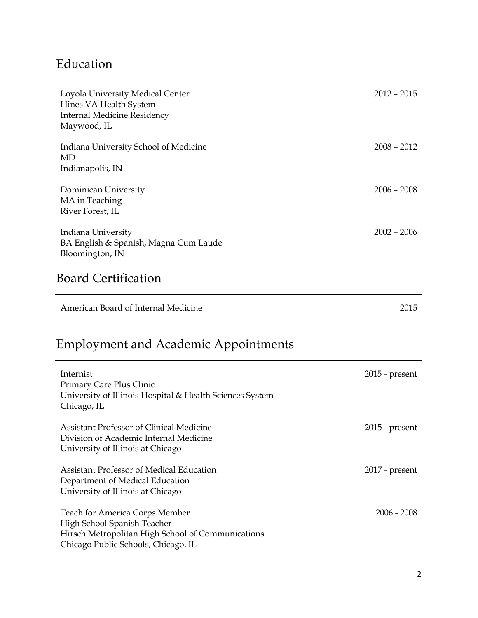## Education

Assistant Professor of Medical Education

Hirsch Metropolitan High School of Communications

Department of Medical Education University of Illinois at Chicago

Teach for America Corps Member High School Spanish Teacher

Chicago Public Schools, Chicago, IL

| Loyola University Medical Center<br>Hines VA Health System<br><b>Internal Medicine Residency</b><br>Maywood, IL  | $2012 - 2015$    |
|------------------------------------------------------------------------------------------------------------------|------------------|
| Indiana University School of Medicine<br><b>MD</b><br>Indianapolis, IN                                           | $2008 - 2012$    |
| Dominican University<br>MA in Teaching<br>River Forest, IL                                                       | $2006 - 2008$    |
| Indiana University<br>BA English & Spanish, Magna Cum Laude<br>Bloomington, IN                                   | $2002 - 2006$    |
| <b>Board Certification</b>                                                                                       |                  |
|                                                                                                                  |                  |
| American Board of Internal Medicine                                                                              | 2015             |
| <b>Employment and Academic Appointments</b>                                                                      |                  |
| Internist<br>Primary Care Plus Clinic<br>University of Illinois Hospital & Health Sciences System<br>Chicago, IL | $2015$ - present |

2017 - present

2006 - 2008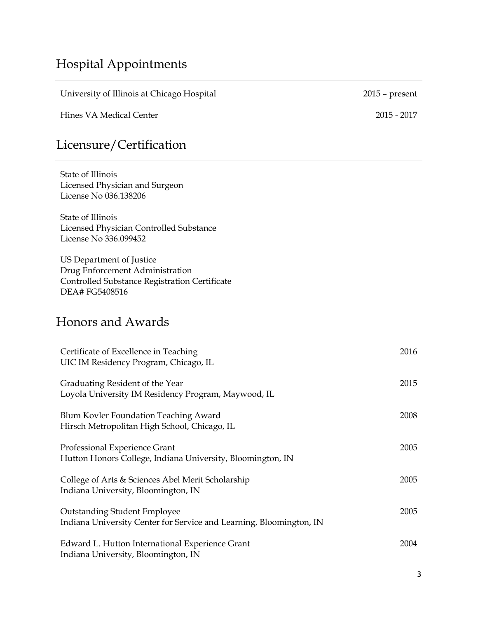# Hospital Appointments

University of Illinois at Chicago Hospital 2015 – present

Hines VA Medical Center 2015 - 2017

# Licensure/Certification

State of Illinois Licensed Physician and Surgeon License No 036.138206

State of Illinois Licensed Physician Controlled Substance License No 336.099452

US Department of Justice Drug Enforcement Administration Controlled Substance Registration Certificate DEA# FG5408516

### Honors and Awards

| Certificate of Excellence in Teaching<br>UIC IM Residency Program, Chicago, IL                             | 2016 |
|------------------------------------------------------------------------------------------------------------|------|
| Graduating Resident of the Year<br>Loyola University IM Residency Program, Maywood, IL                     | 2015 |
| Blum Kovler Foundation Teaching Award<br>Hirsch Metropolitan High School, Chicago, IL                      | 2008 |
| Professional Experience Grant<br>Hutton Honors College, Indiana University, Bloomington, IN                | 2005 |
| College of Arts & Sciences Abel Merit Scholarship<br>Indiana University, Bloomington, IN                   | 2005 |
| <b>Outstanding Student Employee</b><br>Indiana University Center for Service and Learning, Bloomington, IN | 2005 |
| Edward L. Hutton International Experience Grant<br>Indiana University, Bloomington, IN                     | 2004 |

3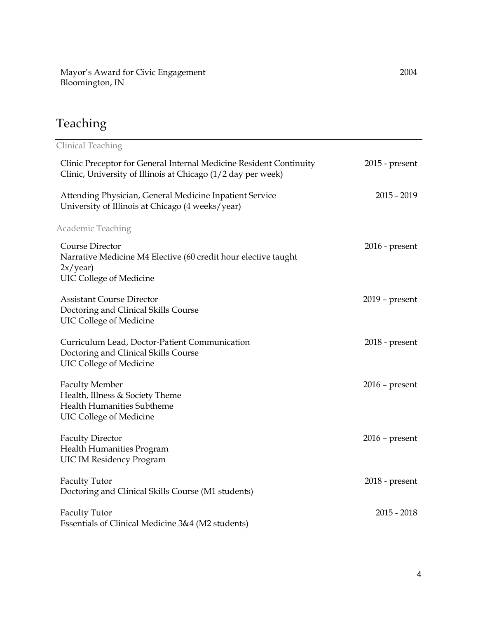Mayor's Award for Civic Engagement Bloomington, IN

# Teaching

| <b>Clinical Teaching</b>                                                                                                           |                  |
|------------------------------------------------------------------------------------------------------------------------------------|------------------|
| Clinic Preceptor for General Internal Medicine Resident Continuity<br>Clinic, University of Illinois at Chicago (1/2 day per week) | $2015$ - present |
| Attending Physician, General Medicine Inpatient Service<br>University of Illinois at Chicago (4 weeks/year)                        | $2015 - 2019$    |
| <b>Academic Teaching</b>                                                                                                           |                  |
| Course Director<br>Narrative Medicine M4 Elective (60 credit hour elective taught<br>2x/year)<br><b>UIC College of Medicine</b>    | $2016$ - present |
| <b>Assistant Course Director</b><br>Doctoring and Clinical Skills Course<br><b>UIC College of Medicine</b>                         | $2019$ – present |
| Curriculum Lead, Doctor-Patient Communication<br>Doctoring and Clinical Skills Course<br><b>UIC College of Medicine</b>            | $2018$ - present |
| <b>Faculty Member</b><br>Health, Illness & Society Theme<br><b>Health Humanities Subtheme</b><br><b>UIC College of Medicine</b>    | $2016$ – present |
| <b>Faculty Director</b><br><b>Health Humanities Program</b><br><b>UIC IM Residency Program</b>                                     | $2016$ – present |
| <b>Faculty Tutor</b><br>Doctoring and Clinical Skills Course (M1 students)                                                         | $2018$ - present |
| <b>Faculty Tutor</b><br>Essentials of Clinical Medicine 3&4 (M2 students)                                                          | $2015 - 2018$    |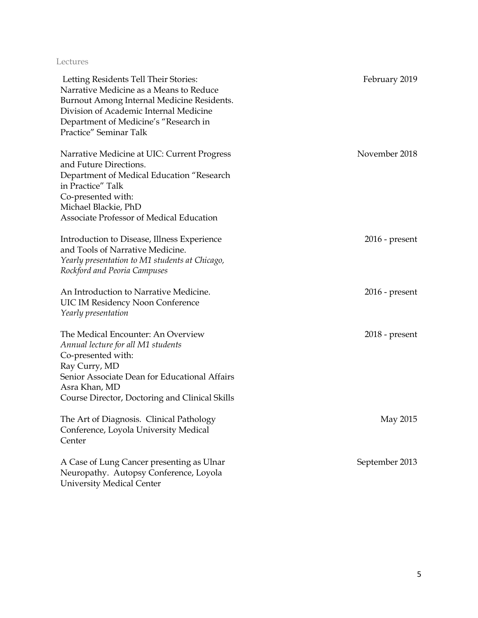#### Lectures

| Letting Residents Tell Their Stories:<br>Narrative Medicine as a Means to Reduce<br>Burnout Among Internal Medicine Residents.<br>Division of Academic Internal Medicine<br>Department of Medicine's "Research in<br>Practice" Seminar Talk | February 2019    |
|---------------------------------------------------------------------------------------------------------------------------------------------------------------------------------------------------------------------------------------------|------------------|
| Narrative Medicine at UIC: Current Progress<br>and Future Directions.<br>Department of Medical Education "Research<br>in Practice" Talk<br>Co-presented with:<br>Michael Blackie, PhD<br>Associate Professor of Medical Education           | November 2018    |
| Introduction to Disease, Illness Experience<br>and Tools of Narrative Medicine.<br>Yearly presentation to M1 students at Chicago,<br>Rockford and Peoria Campuses                                                                           | $2016$ - present |
| An Introduction to Narrative Medicine.<br><b>UIC IM Residency Noon Conference</b><br>Yearly presentation                                                                                                                                    | $2016$ - present |
| The Medical Encounter: An Overview<br>Annual lecture for all M1 students<br>Co-presented with:<br>Ray Curry, MD<br>Senior Associate Dean for Educational Affairs<br>Asra Khan, MD<br>Course Director, Doctoring and Clinical Skills         | $2018$ - present |
| The Art of Diagnosis. Clinical Pathology<br>Conference, Loyola University Medical<br>Center                                                                                                                                                 | May 2015         |
| A Case of Lung Cancer presenting as Ulnar<br>Neuropathy. Autopsy Conference, Loyola<br><b>University Medical Center</b>                                                                                                                     | September 2013   |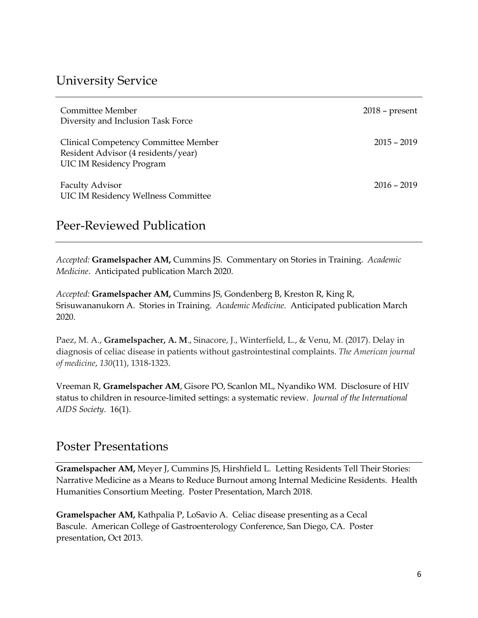### University Service

| Committee Member<br>Diversity and Inclusion Task Force                                                         | $2018$ – present |
|----------------------------------------------------------------------------------------------------------------|------------------|
| Clinical Competency Committee Member<br>Resident Advisor (4 residents/year)<br><b>UIC IM Residency Program</b> | $2015 - 2019$    |
| <b>Faculty Advisor</b><br><b>UIC IM Residency Wellness Committee</b>                                           | $2016 - 2019$    |

### Peer-Reviewed Publication

*Accepted:* **Gramelspacher AM,** Cummins JS. Commentary on Stories in Training. *Academic Medicine*. Anticipated publication March 2020.

*Accepted:* **Gramelspacher AM,** Cummins JS, Gondenberg B, Kreston R, King R, Srisuwananukorn A. Stories in Training. *Academic Medicine.* Anticipated publication March 2020.

Paez, M. A., **Gramelspacher, A. M**., Sinacore, J., Winterfield, L., & Venu, M. (2017). Delay in diagnosis of celiac disease in patients without gastrointestinal complaints. *The American journal of medicine*, *130*(11), 1318-1323.

Vreeman R, **Gramelspacher AM**, Gisore PO, Scanlon ML, Nyandiko WM. Disclosure of HIV status to children in resource-limited settings: a systematic review. *Journal of the International AIDS Society*. 16(1).

#### Poster Presentations

**Gramelspacher AM,** Meyer J, Cummins JS, Hirshfield L. Letting Residents Tell Their Stories: Narrative Medicine as a Means to Reduce Burnout among Internal Medicine Residents. Health Humanities Consortium Meeting. Poster Presentation, March 2018.

**Gramelspacher AM,** Kathpalia P, LoSavio A. Celiac disease presenting as a Cecal Bascule. American College of Gastroenterology Conference, San Diego, CA. Poster presentation, Oct 2013.